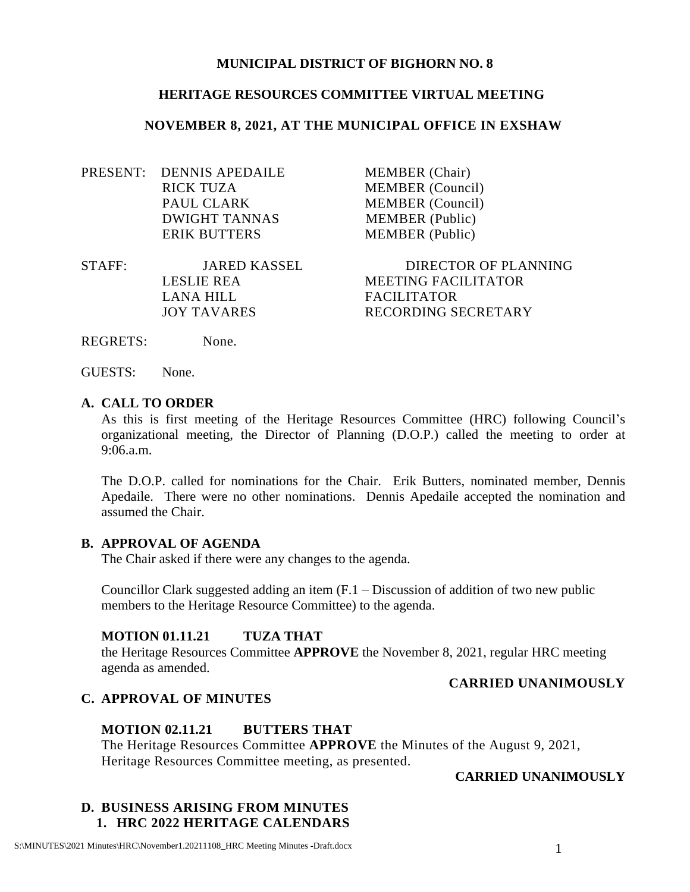#### **MUNICIPAL DISTRICT OF BIGHORN NO. 8**

#### **HERITAGE RESOURCES COMMITTEE VIRTUAL MEETING**

#### **NOVEMBER 8, 2021, AT THE MUNICIPAL OFFICE IN EXSHAW**

PRESENT: DENNIS APEDAILE MEMBER (Chair) RICK TUZA MEMBER (Council) PAUL CLARK MEMBER (Council) DWIGHT TANNAS MEMBER (Public) ERIK BUTTERS MEMBER (Public)

STAFF: JARED KASSEL DIRECTOR OF PLANNING LANA HILL FACILITATOR

LESLIE REA MEETING FACILITATOR JOY TAVARES RECORDING SECRETARY

REGRETS: None.

GUESTS: None.

#### **A. CALL TO ORDER**

As this is first meeting of the Heritage Resources Committee (HRC) following Council's organizational meeting, the Director of Planning (D.O.P.) called the meeting to order at 9:06.a.m.

The D.O.P. called for nominations for the Chair. Erik Butters, nominated member, Dennis Apedaile. There were no other nominations. Dennis Apedaile accepted the nomination and assumed the Chair.

#### **B. APPROVAL OF AGENDA**

The Chair asked if there were any changes to the agenda.

Councillor Clark suggested adding an item (F.1 – Discussion of addition of two new public members to the Heritage Resource Committee) to the agenda.

#### **MOTION 01.11.21 TUZA THAT**

the Heritage Resources Committee **APPROVE** the November 8, 2021, regular HRC meeting agenda as amended.

#### **CARRIED UNANIMOUSLY**

#### **C. APPROVAL OF MINUTES**

#### **MOTION 02.11.21 BUTTERS THAT**

The Heritage Resources Committee **APPROVE** the Minutes of the August 9, 2021, Heritage Resources Committee meeting, as presented.

### **CARRIED UNANIMOUSLY**

## **D. BUSINESS ARISING FROM MINUTES 1. HRC 2022 HERITAGE CALENDARS**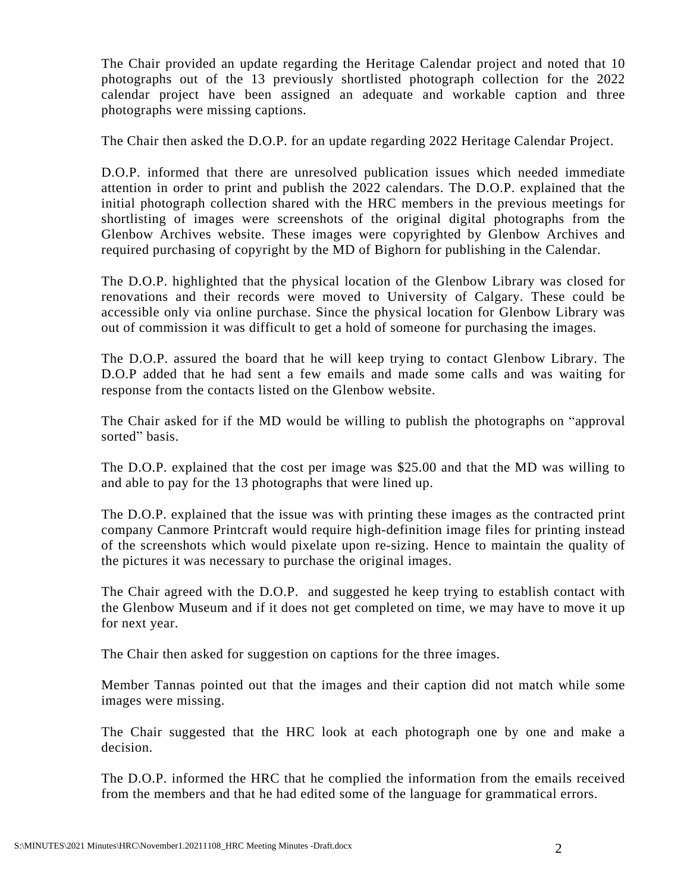The Chair provided an update regarding the Heritage Calendar project and noted that 10 photographs out of the 13 previously shortlisted photograph collection for the 2022 calendar project have been assigned an adequate and workable caption and three photographs were missing captions.

The Chair then asked the D.O.P. for an update regarding 2022 Heritage Calendar Project.

D.O.P. informed that there are unresolved publication issues which needed immediate attention in order to print and publish the 2022 calendars. The D.O.P. explained that the initial photograph collection shared with the HRC members in the previous meetings for shortlisting of images were screenshots of the original digital photographs from the Glenbow Archives website. These images were copyrighted by Glenbow Archives and required purchasing of copyright by the MD of Bighorn for publishing in the Calendar.

The D.O.P. highlighted that the physical location of the Glenbow Library was closed for renovations and their records were moved to University of Calgary. These could be accessible only via online purchase. Since the physical location for Glenbow Library was out of commission it was difficult to get a hold of someone for purchasing the images.

The D.O.P. assured the board that he will keep trying to contact Glenbow Library. The D.O.P added that he had sent a few emails and made some calls and was waiting for response from the contacts listed on the Glenbow website.

The Chair asked for if the MD would be willing to publish the photographs on "approval sorted" basis.

The D.O.P. explained that the cost per image was \$25.00 and that the MD was willing to and able to pay for the 13 photographs that were lined up.

The D.O.P. explained that the issue was with printing these images as the contracted print company Canmore Printcraft would require high-definition image files for printing instead of the screenshots which would pixelate upon re-sizing. Hence to maintain the quality of the pictures it was necessary to purchase the original images.

The Chair agreed with the D.O.P. and suggested he keep trying to establish contact with the Glenbow Museum and if it does not get completed on time, we may have to move it up for next year.

The Chair then asked for suggestion on captions for the three images.

Member Tannas pointed out that the images and their caption did not match while some images were missing.

The Chair suggested that the HRC look at each photograph one by one and make a decision.

The D.O.P. informed the HRC that he complied the information from the emails received from the members and that he had edited some of the language for grammatical errors.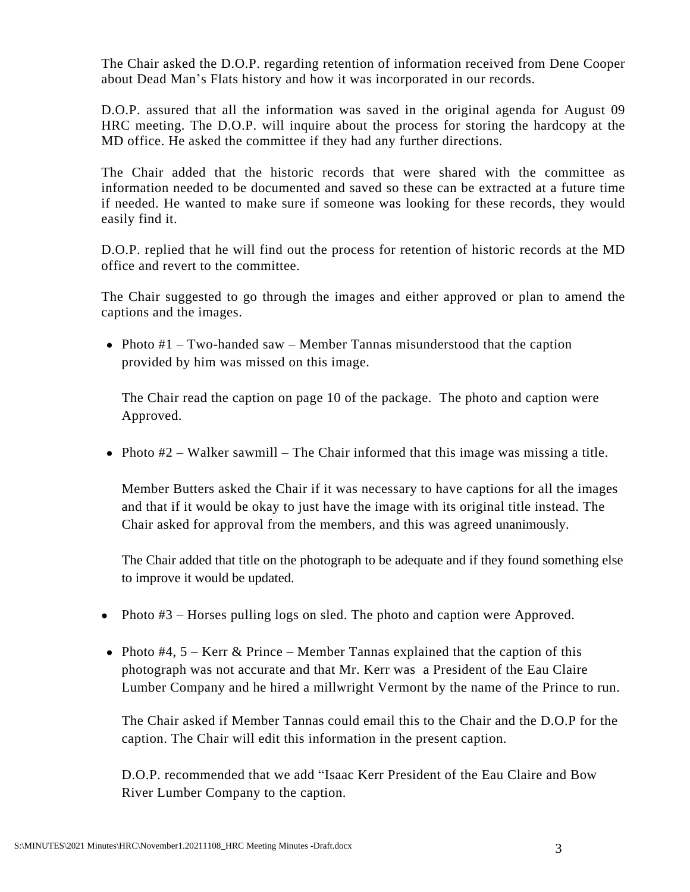The Chair asked the D.O.P. regarding retention of information received from Dene Cooper about Dead Man's Flats history and how it was incorporated in our records.

D.O.P. assured that all the information was saved in the original agenda for August 09 HRC meeting. The D.O.P. will inquire about the process for storing the hardcopy at the MD office. He asked the committee if they had any further directions.

The Chair added that the historic records that were shared with the committee as information needed to be documented and saved so these can be extracted at a future time if needed. He wanted to make sure if someone was looking for these records, they would easily find it.

D.O.P. replied that he will find out the process for retention of historic records at the MD office and revert to the committee.

The Chair suggested to go through the images and either approved or plan to amend the captions and the images.

• Photo  $#1$  – Two-handed saw – Member Tannas misunderstood that the caption provided by him was missed on this image.

The Chair read the caption on page 10 of the package. The photo and caption were Approved.

• Photo  $#2$  – Walker sawmill – The Chair informed that this image was missing a title.

Member Butters asked the Chair if it was necessary to have captions for all the images and that if it would be okay to just have the image with its original title instead. The Chair asked for approval from the members, and this was agreed unanimously.

The Chair added that title on the photograph to be adequate and if they found something else to improve it would be updated.

- Photo #3 Horses pulling logs on sled. The photo and caption were Approved.
- Photo  $#4$ ,  $5 -$  Kerr & Prince Member Tannas explained that the caption of this photograph was not accurate and that Mr. Kerr was a President of the Eau Claire Lumber Company and he hired a millwright Vermont by the name of the Prince to run.

The Chair asked if Member Tannas could email this to the Chair and the D.O.P for the caption. The Chair will edit this information in the present caption.

D.O.P. recommended that we add "Isaac Kerr President of the Eau Claire and Bow River Lumber Company to the caption.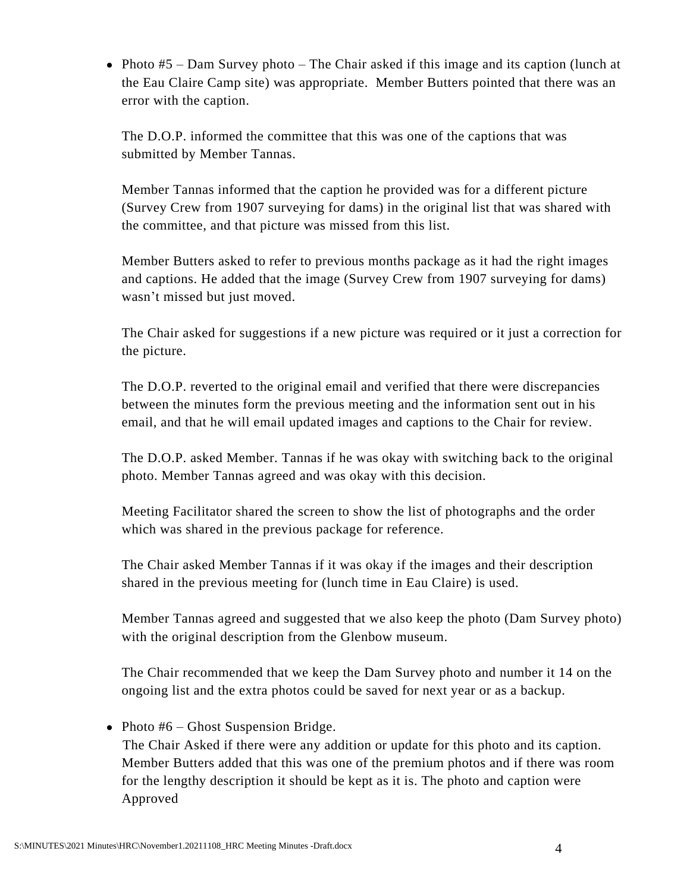• Photo  $#5$  – Dam Survey photo – The Chair asked if this image and its caption (lunch at the Eau Claire Camp site) was appropriate. Member Butters pointed that there was an error with the caption.

The D.O.P. informed the committee that this was one of the captions that was submitted by Member Tannas.

Member Tannas informed that the caption he provided was for a different picture (Survey Crew from 1907 surveying for dams) in the original list that was shared with the committee, and that picture was missed from this list.

Member Butters asked to refer to previous months package as it had the right images and captions. He added that the image (Survey Crew from 1907 surveying for dams) wasn't missed but just moved.

The Chair asked for suggestions if a new picture was required or it just a correction for the picture.

The D.O.P. reverted to the original email and verified that there were discrepancies between the minutes form the previous meeting and the information sent out in his email, and that he will email updated images and captions to the Chair for review.

The D.O.P. asked Member. Tannas if he was okay with switching back to the original photo. Member Tannas agreed and was okay with this decision.

Meeting Facilitator shared the screen to show the list of photographs and the order which was shared in the previous package for reference.

The Chair asked Member Tannas if it was okay if the images and their description shared in the previous meeting for (lunch time in Eau Claire) is used.

Member Tannas agreed and suggested that we also keep the photo (Dam Survey photo) with the original description from the Glenbow museum.

The Chair recommended that we keep the Dam Survey photo and number it 14 on the ongoing list and the extra photos could be saved for next year or as a backup.

• Photo  $#6$  – Ghost Suspension Bridge.

The Chair Asked if there were any addition or update for this photo and its caption. Member Butters added that this was one of the premium photos and if there was room for the lengthy description it should be kept as it is. The photo and caption were Approved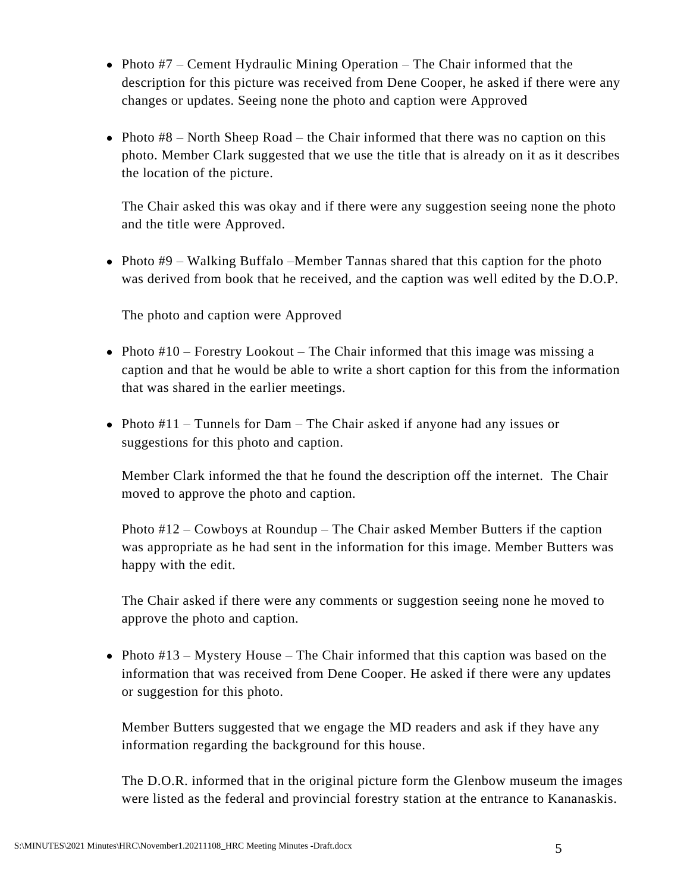- Photo  $#7$  Cement Hydraulic Mining Operation The Chair informed that the description for this picture was received from Dene Cooper, he asked if there were any changes or updates. Seeing none the photo and caption were Approved
- Photo  $#8$  North Sheep Road the Chair informed that there was no caption on this photo. Member Clark suggested that we use the title that is already on it as it describes the location of the picture.

The Chair asked this was okay and if there were any suggestion seeing none the photo and the title were Approved.

• Photo  $#9$  – Walking Buffalo –Member Tannas shared that this caption for the photo was derived from book that he received, and the caption was well edited by the D.O.P.

The photo and caption were Approved

- Photo #10 Forestry Lookout The Chair informed that this image was missing a caption and that he would be able to write a short caption for this from the information that was shared in the earlier meetings.
- Photo #11 Tunnels for Dam The Chair asked if anyone had any issues or suggestions for this photo and caption.

Member Clark informed the that he found the description off the internet. The Chair moved to approve the photo and caption.

Photo #12 – Cowboys at Roundup – The Chair asked Member Butters if the caption was appropriate as he had sent in the information for this image. Member Butters was happy with the edit.

The Chair asked if there were any comments or suggestion seeing none he moved to approve the photo and caption.

• Photo  $\#13$  – Mystery House – The Chair informed that this caption was based on the information that was received from Dene Cooper. He asked if there were any updates or suggestion for this photo.

Member Butters suggested that we engage the MD readers and ask if they have any information regarding the background for this house.

The D.O.R. informed that in the original picture form the Glenbow museum the images were listed as the federal and provincial forestry station at the entrance to Kananaskis.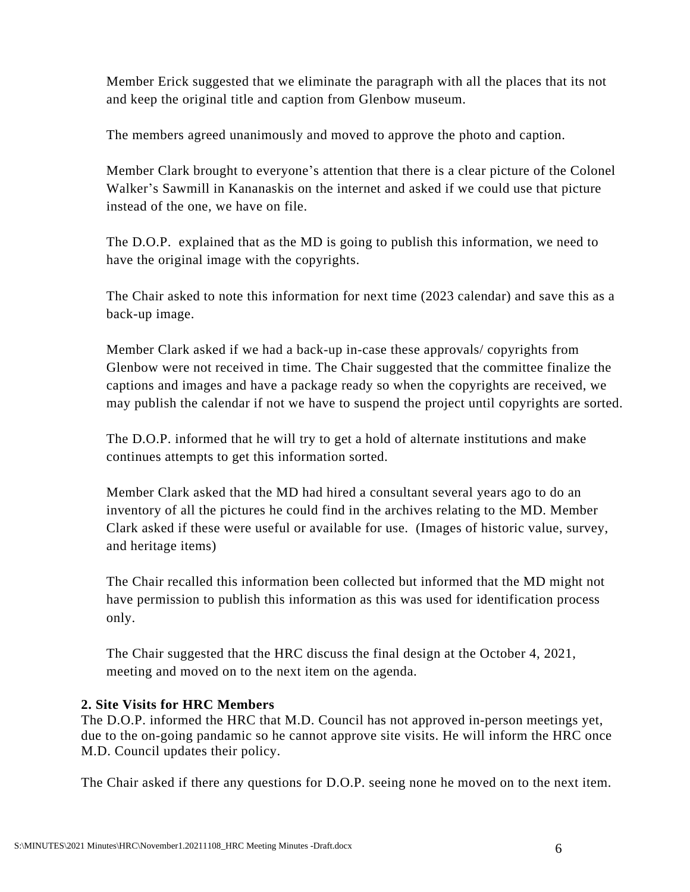Member Erick suggested that we eliminate the paragraph with all the places that its not and keep the original title and caption from Glenbow museum.

The members agreed unanimously and moved to approve the photo and caption.

Member Clark brought to everyone's attention that there is a clear picture of the Colonel Walker's Sawmill in Kananaskis on the internet and asked if we could use that picture instead of the one, we have on file.

The D.O.P. explained that as the MD is going to publish this information, we need to have the original image with the copyrights.

The Chair asked to note this information for next time (2023 calendar) and save this as a back-up image.

Member Clark asked if we had a back-up in-case these approvals/ copyrights from Glenbow were not received in time. The Chair suggested that the committee finalize the captions and images and have a package ready so when the copyrights are received, we may publish the calendar if not we have to suspend the project until copyrights are sorted.

The D.O.P. informed that he will try to get a hold of alternate institutions and make continues attempts to get this information sorted.

Member Clark asked that the MD had hired a consultant several years ago to do an inventory of all the pictures he could find in the archives relating to the MD. Member Clark asked if these were useful or available for use. (Images of historic value, survey, and heritage items)

The Chair recalled this information been collected but informed that the MD might not have permission to publish this information as this was used for identification process only.

The Chair suggested that the HRC discuss the final design at the October 4, 2021, meeting and moved on to the next item on the agenda.

## **2. Site Visits for HRC Members**

The D.O.P. informed the HRC that M.D. Council has not approved in-person meetings yet, due to the on-going pandamic so he cannot approve site visits. He will inform the HRC once M.D. Council updates their policy.

The Chair asked if there any questions for D.O.P. seeing none he moved on to the next item.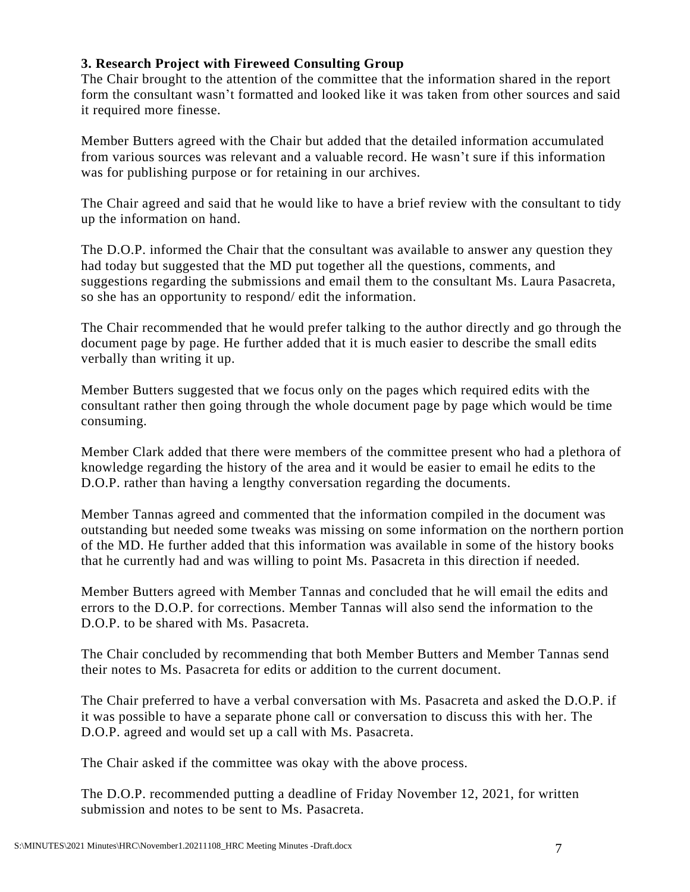## **3. Research Project with Fireweed Consulting Group**

The Chair brought to the attention of the committee that the information shared in the report form the consultant wasn't formatted and looked like it was taken from other sources and said it required more finesse.

Member Butters agreed with the Chair but added that the detailed information accumulated from various sources was relevant and a valuable record. He wasn't sure if this information was for publishing purpose or for retaining in our archives.

The Chair agreed and said that he would like to have a brief review with the consultant to tidy up the information on hand.

The D.O.P. informed the Chair that the consultant was available to answer any question they had today but suggested that the MD put together all the questions, comments, and suggestions regarding the submissions and email them to the consultant Ms. Laura Pasacreta, so she has an opportunity to respond/ edit the information.

The Chair recommended that he would prefer talking to the author directly and go through the document page by page. He further added that it is much easier to describe the small edits verbally than writing it up.

Member Butters suggested that we focus only on the pages which required edits with the consultant rather then going through the whole document page by page which would be time consuming.

Member Clark added that there were members of the committee present who had a plethora of knowledge regarding the history of the area and it would be easier to email he edits to the D.O.P. rather than having a lengthy conversation regarding the documents.

Member Tannas agreed and commented that the information compiled in the document was outstanding but needed some tweaks was missing on some information on the northern portion of the MD. He further added that this information was available in some of the history books that he currently had and was willing to point Ms. Pasacreta in this direction if needed.

Member Butters agreed with Member Tannas and concluded that he will email the edits and errors to the D.O.P. for corrections. Member Tannas will also send the information to the D.O.P. to be shared with Ms. Pasacreta.

The Chair concluded by recommending that both Member Butters and Member Tannas send their notes to Ms. Pasacreta for edits or addition to the current document.

The Chair preferred to have a verbal conversation with Ms. Pasacreta and asked the D.O.P. if it was possible to have a separate phone call or conversation to discuss this with her. The D.O.P. agreed and would set up a call with Ms. Pasacreta.

The Chair asked if the committee was okay with the above process.

The D.O.P. recommended putting a deadline of Friday November 12, 2021, for written submission and notes to be sent to Ms. Pasacreta.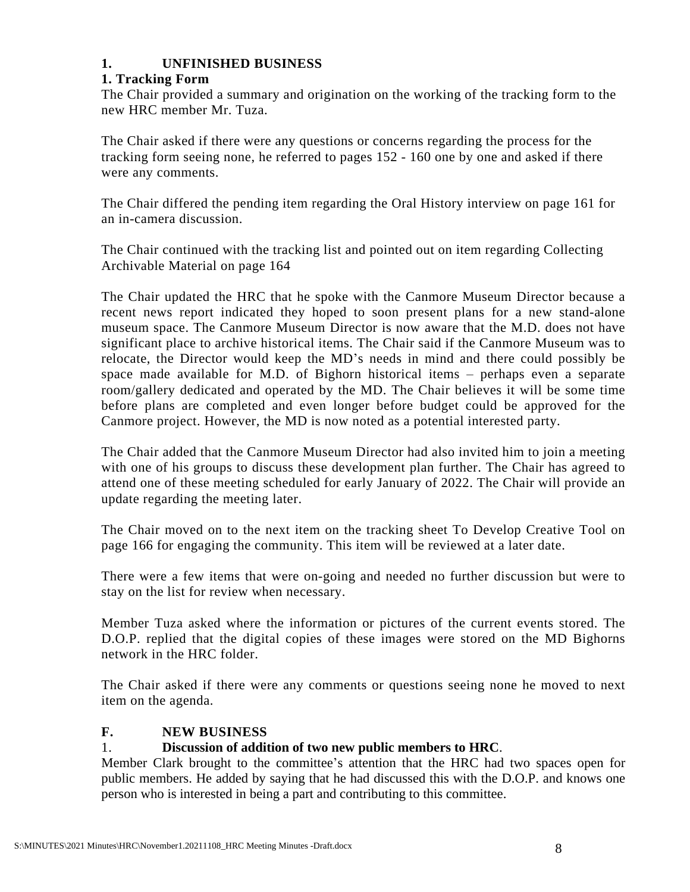## **1. UNFINISHED BUSINESS**

## **1. Tracking Form**

The Chair provided a summary and origination on the working of the tracking form to the new HRC member Mr. Tuza.

The Chair asked if there were any questions or concerns regarding the process for the tracking form seeing none, he referred to pages 152 - 160 one by one and asked if there were any comments.

The Chair differed the pending item regarding the Oral History interview on page 161 for an in-camera discussion.

The Chair continued with the tracking list and pointed out on item regarding Collecting Archivable Material on page 164

The Chair updated the HRC that he spoke with the Canmore Museum Director because a recent news report indicated they hoped to soon present plans for a new stand-alone museum space. The Canmore Museum Director is now aware that the M.D. does not have significant place to archive historical items. The Chair said if the Canmore Museum was to relocate, the Director would keep the MD's needs in mind and there could possibly be space made available for M.D. of Bighorn historical items – perhaps even a separate room/gallery dedicated and operated by the MD. The Chair believes it will be some time before plans are completed and even longer before budget could be approved for the Canmore project. However, the MD is now noted as a potential interested party.

The Chair added that the Canmore Museum Director had also invited him to join a meeting with one of his groups to discuss these development plan further. The Chair has agreed to attend one of these meeting scheduled for early January of 2022. The Chair will provide an update regarding the meeting later.

The Chair moved on to the next item on the tracking sheet To Develop Creative Tool on page 166 for engaging the community. This item will be reviewed at a later date.

There were a few items that were on-going and needed no further discussion but were to stay on the list for review when necessary.

Member Tuza asked where the information or pictures of the current events stored. The D.O.P. replied that the digital copies of these images were stored on the MD Bighorns network in the HRC folder.

The Chair asked if there were any comments or questions seeing none he moved to next item on the agenda.

## **F. NEW BUSINESS**

## 1. **Discussion of addition of two new public members to HRC**.

Member Clark brought to the committee's attention that the HRC had two spaces open for public members. He added by saying that he had discussed this with the D.O.P. and knows one person who is interested in being a part and contributing to this committee.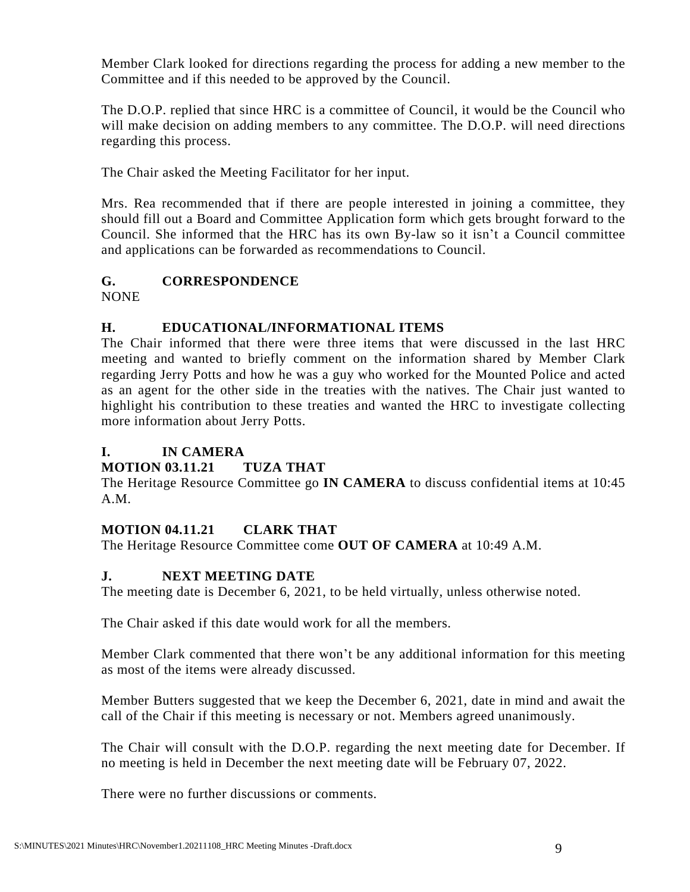Member Clark looked for directions regarding the process for adding a new member to the Committee and if this needed to be approved by the Council.

The D.O.P. replied that since HRC is a committee of Council, it would be the Council who will make decision on adding members to any committee. The D.O.P. will need directions regarding this process.

The Chair asked the Meeting Facilitator for her input.

Mrs. Rea recommended that if there are people interested in joining a committee, they should fill out a Board and Committee Application form which gets brought forward to the Council. She informed that the HRC has its own By-law so it isn't a Council committee and applications can be forwarded as recommendations to Council.

# **G. CORRESPONDENCE**

NONE

# **H. EDUCATIONAL/INFORMATIONAL ITEMS**

The Chair informed that there were three items that were discussed in the last HRC meeting and wanted to briefly comment on the information shared by Member Clark regarding Jerry Potts and how he was a guy who worked for the Mounted Police and acted as an agent for the other side in the treaties with the natives. The Chair just wanted to highlight his contribution to these treaties and wanted the HRC to investigate collecting more information about Jerry Potts.

# **I. IN CAMERA**

# **MOTION 03.11.21 TUZA THAT**

The Heritage Resource Committee go **IN CAMERA** to discuss confidential items at 10:45 A.M.

## **MOTION 04.11.21 CLARK THAT**

The Heritage Resource Committee come **OUT OF CAMERA** at 10:49 A.M.

## **J. NEXT MEETING DATE**

The meeting date is December 6, 2021, to be held virtually, unless otherwise noted.

The Chair asked if this date would work for all the members.

Member Clark commented that there won't be any additional information for this meeting as most of the items were already discussed.

Member Butters suggested that we keep the December 6, 2021, date in mind and await the call of the Chair if this meeting is necessary or not. Members agreed unanimously.

The Chair will consult with the D.O.P. regarding the next meeting date for December. If no meeting is held in December the next meeting date will be February 07, 2022.

There were no further discussions or comments.